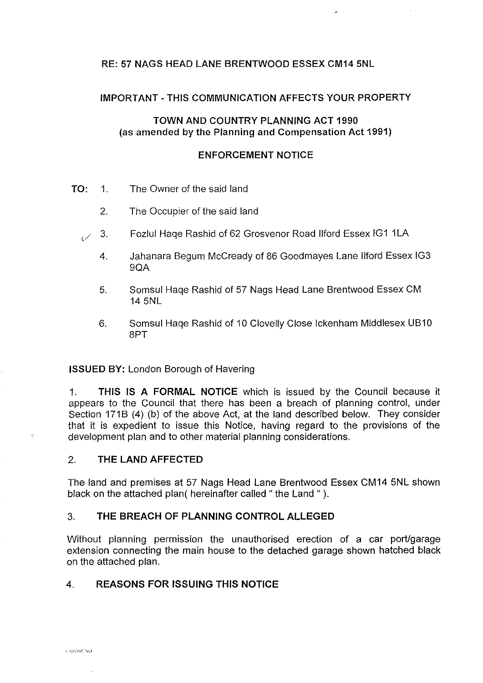# RE: 57 NAGS HEAD LANE BRENTWOOD ESSEX CM14 5NL

# **IMPORTANT -THIS COMMUNICATION AFFECTS YOUR PROPERTY**

# **TOWN AND COUNTRY PLANNING ACT 1990 (as amended by the Planning and Compensation Act 1991)**

### **ENFORCEMENT NOTICE**

- **TO:** 1. The Owner of the said land
	- 2. The Occupier of the said land
	- 3. Fozlul Haqe Rashid of 62 Grosvenor Road Ilford Essex IG1 1LA
		- 4. Jahanara Begum Mccready of 86 Goodmayes Lane llford Essex IG3 9QA
		- 5. Somsul Haqe Rashid of 57 Nags Head Lane Brentwood Essex CM 14 5NL
		- 6. Somsul Haqe Rashid of 10 Clovelly Close lckenham Middlesex U810 8PT

# **ISSUED BY:** London Borough of Havering

1. **THIS IS A FORMAL NOTICE** which is issued by the Council because it appears *to* the Council that there has been a breach of planning control, under Section 171B (4) (b) of the above Act, at the land described below. They consider that it is expedient to issue this Notice, having regard to the provisions of the development plan and to other material planning considerations.

# 2. **THE LAND AFFECTED**

The land and premises at 57 Nags Head Lane Brentwood Essex CM14 5NL shown black on the attached plan( hereinafter called "the Land ").

# 3. **THE BREACH OF PLANNING CONTROL ALLEGED**

Without planning permission the unauthorised erection of a car port/garage extension connecting the main house to the detached garage shown hatched black on the attached plan.

# 4. **REASONS FOR ISSUING THIS NOTICE**

 $\bar{\nu}_i$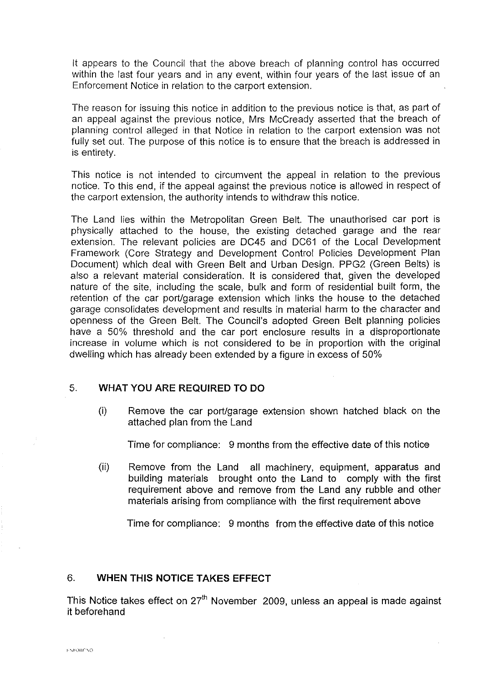It appears to the Council that the above breach of planning control has occurred within the last four years and in any event, within four years of the last issue of an Enforcement Notice in relation to the carport extension.

The reason for issuing this notice in addition to the previous notice is that, as part of an appeal against the previous notice, Mrs Mccready asserted that the breach of planning control alleged in that Notice in relation to the carport extension was not fully set out. The purpose of this notice is to ensure that the breach is addressed in is entirety.

This notice is not intended to circumvent the appeal in relation to the previous notice. To this end, if the appeal against the previous notice is allowed in respect of the carport extension, the authority intends to withdraw this notice.

The Land lies within the Metropolitan Green Belt. The unauthorised car port is physically attached to the house, the existing detached garage and the rear extension. The relevant policies are DC45 and DC61 of the Local Development Framework (Core Strategy and Development Control Policies Development Plan Document) which deal with Green Belt and Urban Design. PPG2 (Green Belts) is also a relevant material consideration. It is considered that, given the developed nature of the site, including the scale, bulk and form of residential built form, the retention of the car port/garage extension which links the house to the detached garage consolidates development and results in material harm to the character and openness of the Green Belt. The Council's adopted Green Belt planning policies have a 50% threshold and the car port enclosure results in a disproportionate increase in volume which is not considered to be in proportion with the original dwelling which has already been extended by a figure in excess of 50%

# 5. **WHAT YOU ARE REQUIRED TO DO**

(i) Remove the car port/garage extension shown hatched black on the attached plan from the Land

Time for compliance: 9 months from the effective date of this notice

(ii) Remove from the Land all machinery, equipment, apparatus and building materials brought onto the Land to comply with the first requirement above and remove from the Land any rubble and other materials arising from compliance with the first requirement above

Time for compliance: 9 months from the effective date of this notice

# 6. **WHEN THIS NOTICE TAKES EFFECT**

This Notice takes effect on  $27<sup>th</sup>$  November 2009, unless an appeal is made against it beforehand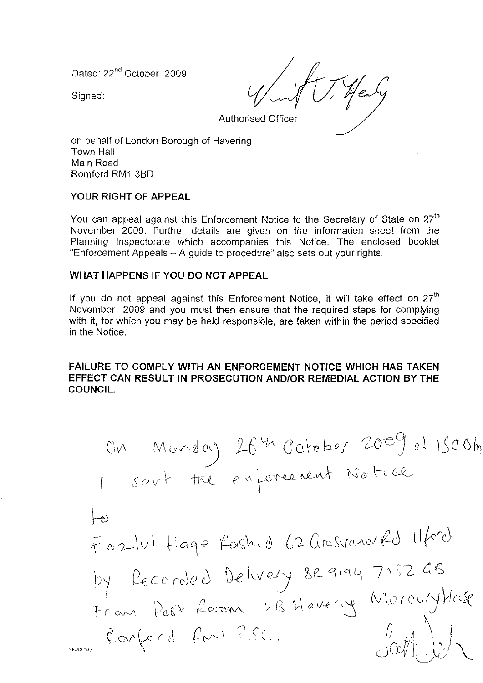Dated: 22<sup>nd</sup> October 2009

Signed:

ENFORC

Authorised Officer

on behalf of London Borough of Havering Town Hall Main Road Romford RM1 3B0

### **YOUR RIGHT OF APPEAL**

You can appeal against this Enforcement Notice to the Secretary of State on  $27<sup>th</sup>$ November 2009. Further details are given on the information sheet from the Planning Inspectorate which accompanies this Notice. The enclosed booklet "Enforcement Appeals - A guide to procedure" also sets out your rights.

### **WHAT HAPPENS IF YOU DO NOT APPEAL**

If you do not appeal against this Enforcement Notice, it will take effect on  $27<sup>th</sup>$ November 2009 and you must then ensure that the required steps for complying with it, for which you may be held responsible, are taken within the period specified in the Notice.

### **FAILURE TO COMPLY WITH AN ENFORCEMENT NOTICE WHICH HAS TAKEN EFFECT CAN RESULT IN PROSECUTION AND/OR REMEDIAL ACTION BY THE COUNCIL.**

IV\ Qcv' <sup>d</sup>j *s*() V \-- TI"'-Z <sup>r</sup> h '.r '2---\v\ ~\C\1{? ~<:,\1\,0 l1--C~rcS\Jc~AoJ~ci 1\hrJ. <sup>0</sup> 71(2 t~ *('* C\J\c *f* C\Jfj}1*l~b(* v~ Q.J-e*'<\I\\_ <sup>0</sup>* - \ ) Jctr1~J'--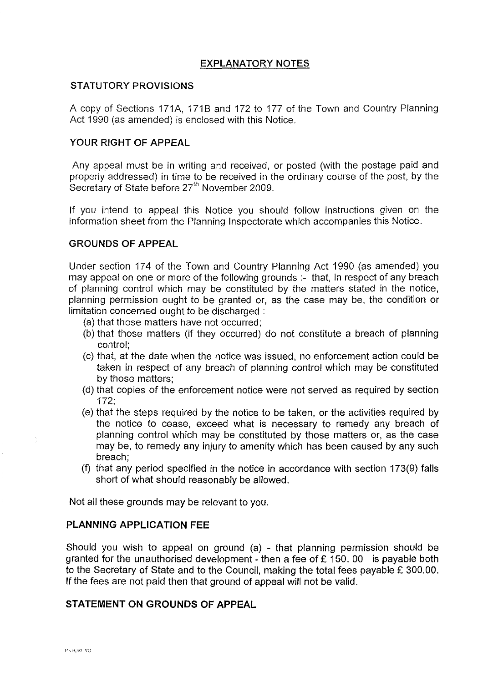# **EXPLANATORY NOTES**

#### **STATUTORY PROVISIONS**

A copy of Sections 171A, 1718 and 172 to 177 of the Town and Country Planning Act 1990 (as amended) is enclosed with this Notice.

### **YOUR RIGHT OF APPEAL**

Any appeal must be in writing and received, or posted (with the postage paid and properly addressed) in time to be received in the ordinary course of the post, by the Secretary of State before *2ih* November 2009.

If you intend to appeal this Notice you should follow instructions given on the information sheet from the Planning Inspectorate which accompanies this Notice.

#### **GROUNDS OF APPEAL**

Under section 174 of the Town and Country Planning Act 1990 (as amended) you may appeal on one or more of the following grounds :- that, in respect of any breach of planning control which may be constituted by the matters stated in the notice, planning permission ought to be granted or, as the case may be, the condition or limitation concerned ought to be discharged :

- (a) that those matters have not occurred;
- (b) that those matters (if they occurred) do not constitute a breach of planning control;
- (c) that, at the date when the notice was issued, no enforcement action could be taken in respect of any breach of planning control which may be constituted by those matters;
- (d) that copies of the enforcement notice were not served as required by section 172;
- (e) that the steps required by the notice to be taken, or the activities required by the notice to cease, exceed what is necessary to remedy any breach of planning control which may be constituted by those matters or, as the case may be, to remedy any injury to amenity which has been caused by any such breach;
- (f) that any period specified in the notice in accordance with section 173(9) falls short of what should reasonably be allowed.

Not all these grounds may be relevant to you.

### **PLANNING APPLICATION FEE**

Should you wish to appeal on ground (a) - that planning permission should be granted for the unauthorised development - then a fee of  $£ 150.00$  is payable both to the Secretary of State and to the Council, making the total fees payable £ 300.00. If the fees are not paid then that ground of appeal will not be valid.

### **STATEMENT ON GROUNDS OF APPEAL**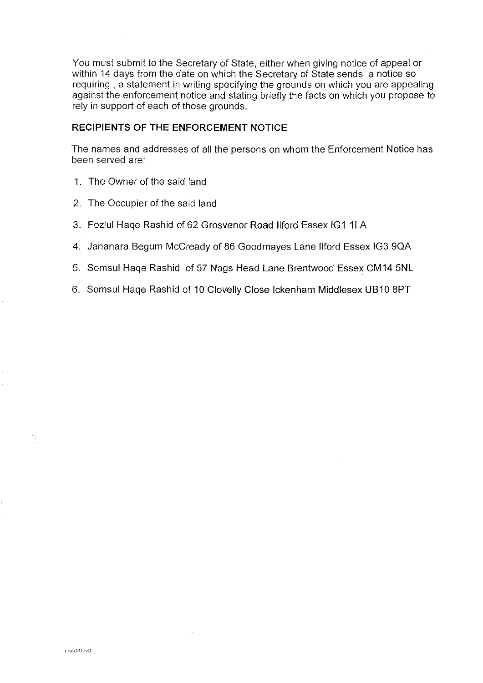You must submit to the Secretary of State, either when giving notice of appeal or within 14 days from the date on which the Secretary of State sends a notice so requiring , a statement in writing specifying the grounds on which you are appealing against the enforcement notice and stating briefly the facts on which you propose to rely in support of each of those grounds.

### **RECIPIENTS OF THE ENFORCEMENT NOTICE**

The names and addresses of all the persons on whom the Enforcement Notice has been served are:

- 1. The Owner of the said land
- 2. The Occupier of the said land
- 3. Fozlul Hage Rashid of 62 Grosvenor Road Ilford Essex IG1 1LA
- 4. Jahanara Begum Mccready of 86 Goodmayes Lane llford Essex IG3 9QA
- 5. Somsul Haqe Rashid of 57 Nags Head Lane Brentwood Essex CM14 5NL
- 6. Somsul Haqe Rashid of 10 Clovelly Close lckenham Middlesex UB10 8PT